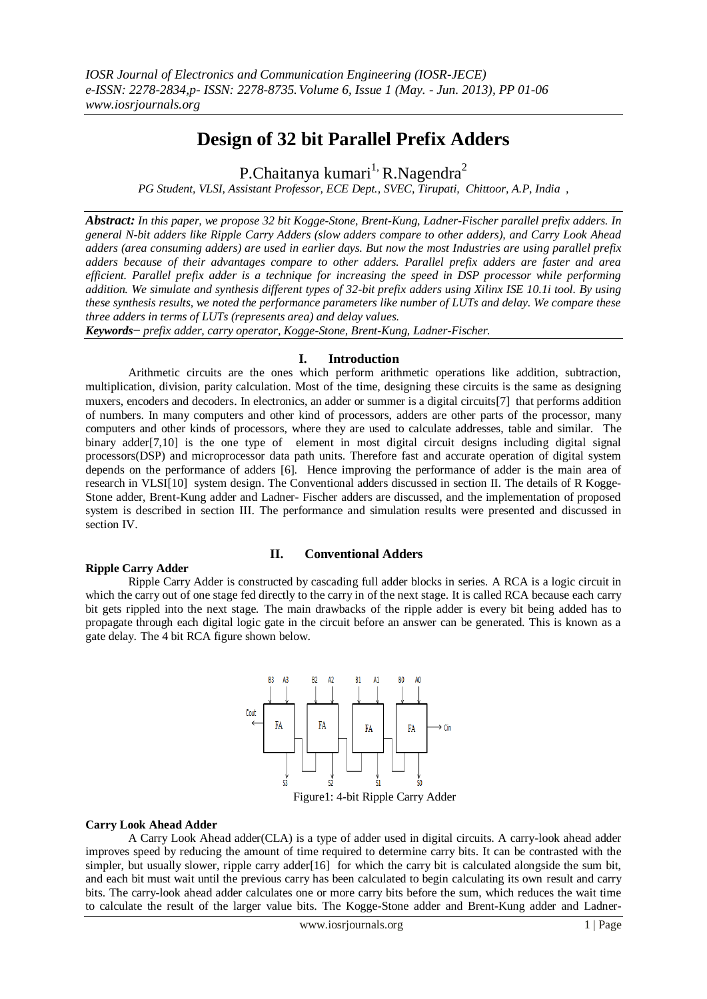# **Design of 32 bit Parallel Prefix Adders**

P.Chaitanya kumari<sup>1,</sup> R.Nagendra<sup>2</sup>

*PG Student, VLSI, Assistant Professor, ECE Dept., SVEC, Tirupati, Chittoor, A.P, India ,*

*Abstract: In this paper, we propose 32 bit Kogge-Stone, Brent-Kung, Ladner-Fischer parallel prefix adders. In general N-bit adders like Ripple Carry Adders (slow adders compare to other adders), and Carry Look Ahead adders (area consuming adders) are used in earlier days. But now the most Industries are using parallel prefix adders because of their advantages compare to other adders. Parallel prefix adders are faster and area efficient. Parallel prefix adder is a technique for increasing the speed in DSP processor while performing addition. We simulate and synthesis different types of 32-bit prefix adders using Xilinx ISE 10.1i tool. By using these synthesis results, we noted the performance parameters like number of LUTs and delay. We compare these three adders in terms of LUTs (represents area) and delay values.* 

*Keywords− prefix adder, carry operator, Kogge-Stone, Brent-Kung, Ladner-Fischer.*

# **I. Introduction**

Arithmetic circuits are the ones which perform arithmetic operations like addition, subtraction, multiplication, division, parity calculation. Most of the time, designing these circuits is the same as designing muxers, encoders and decoders. In electronics, an adder or summer is a digital circuits[7] that performs addition of numbers. In many computers and other kind of processors, adders are other parts of the processor, many computers and other kinds of processors, where they are used to calculate addresses, table and similar. The binary adder[7,10] is the one type of element in most digital circuit designs including digital signal processors(DSP) and microprocessor data path units. Therefore fast and accurate operation of digital system depends on the performance of adders [6]. Hence improving the performance of adder is the main area of research in VLSI[10] system design. The Conventional adders discussed in section II. The details of R Kogge-Stone adder, Brent-Kung adder and Ladner- Fischer adders are discussed, and the implementation of proposed system is described in section III. The performance and simulation results were presented and discussed in section IV.

# **Ripple Carry Adder**

#### **II. Conventional Adders**

Ripple Carry Adder is constructed by cascading full adder blocks in series. A RCA is a logic circuit in which the carry out of one stage fed directly to the carry in of the next stage. It is called RCA because each carry bit gets rippled into the next stage. The main drawbacks of the ripple adder is every bit being added has to propagate through each digital logic gate in the circuit before an answer can be generated. This is known as a gate delay. The 4 bit RCA figure shown below.



#### **Carry Look Ahead Adder**

A Carry Look Ahead adder(CLA) is a type of adder used in digital circuits. A carry-look ahead adder improves speed by reducing the amount of time required to determine carry bits. It can be contrasted with the simpler, but usually slower, ripple carry adder[16] for which the carry bit is calculated alongside the sum bit, and each bit must wait until the previous carry has been calculated to begin calculating its own result and carry bits. The carry-look ahead adder calculates one or more carry bits before the sum, which reduces the wait time to calculate the result of the larger value bits. The Kogge-Stone adder and Brent-Kung adder and Ladner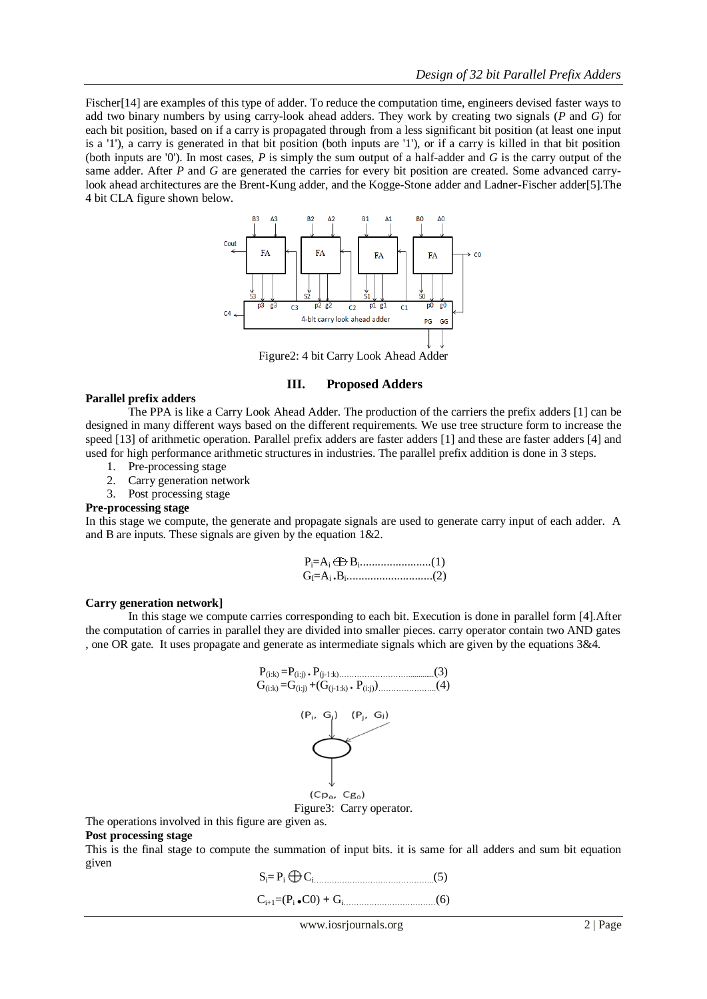Fischer<sup>[14]</sup> are examples of this type of adder. To reduce the computation time, engineers devised faster ways to add two binary numbers by using carry-look ahead adders. They work by creating two signals (*P* and *G*) for each bit position, based on if a carry is propagated through from a less significant bit position (at least one input is a '1'), a carry is generated in that bit position (both inputs are '1'), or if a carry is killed in that bit position (both inputs are '0'). In most cases, *P* is simply the sum output of a half-adder and *G* is the carry output of the same adder. After *P* and *G* are generated the carries for every bit position are created. Some advanced carrylook ahead architectures are the Brent-Kung adder, and the Kogge-Stone adder and Ladner-Fischer adder[5].The 4 bit CLA figure shown below.



Figure2: 4 bit Carry Look Ahead Adder

# **III. Proposed Adders**

# **Parallel prefix adders**

The PPA is like a Carry Look Ahead Adder. The production of the carriers the prefix adders [1] can be designed in many different ways based on the different requirements. We use tree structure form to increase the speed [13] of arithmetic operation. Parallel prefix adders are faster adders [1] and these are faster adders [4] and used for high performance arithmetic structures in industries. The parallel prefix addition is done in 3 steps.

- 1. Pre-processing stage
- 2. Carry generation network
- 3. Post processing stage

#### **Pre-processing stage**

In this stage we compute, the generate and propagate signals are used to generate carry input of each adder. A and B are inputs. These signals are given by the equation 1&2.

| $G_{\vec{l}} = A_i \cdot B_i \dots \dots \dots \dots \dots \dots \dots \dots \dots \dots (2)$ |  |
|-----------------------------------------------------------------------------------------------|--|

#### **Carry generation network]**

In this stage we compute carries corresponding to each bit. Execution is done in parallel form [4].After the computation of carries in parallel they are divided into smaller pieces. carry operator contain two AND gates , one OR gate. It uses propagate and generate as intermediate signals which are given by the equations 3&4.



The operations involved in this figure are given as.

# **Post processing stage**

This is the final stage to compute the summation of input bits. it is same for all adders and sum bit equation given

 $S_i = P_i \bigoplus C_i$  (5)

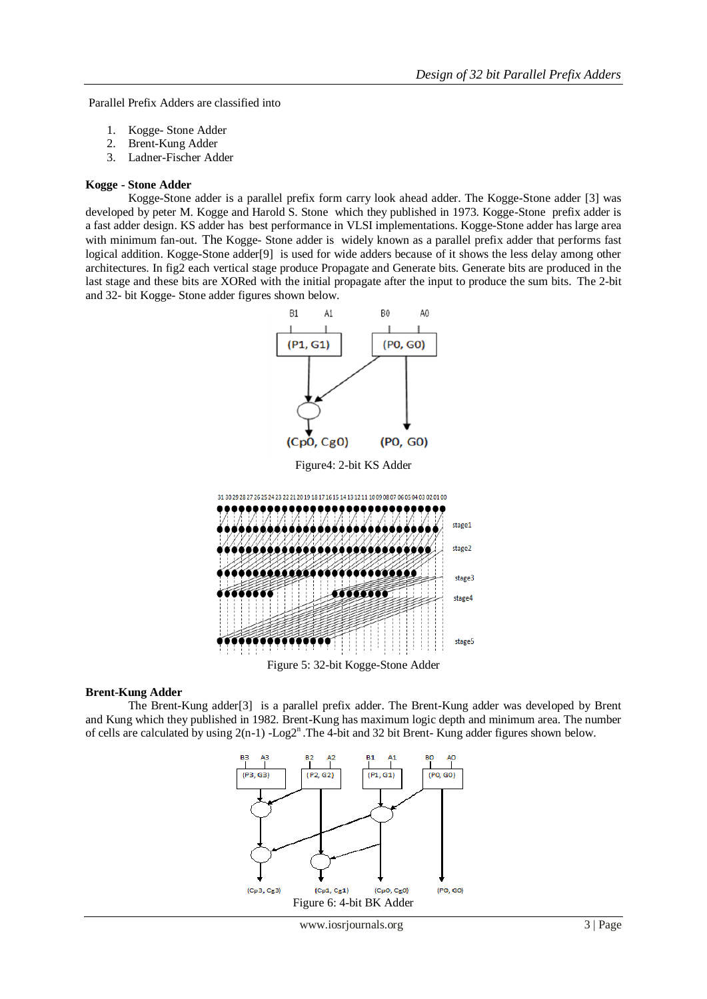Parallel Prefix Adders are classified into

- 1. Kogge- Stone Adder
- 2. Brent-Kung Adder
- 3. Ladner-Fischer Adder

#### **Kogge - Stone Adder**

Kogge-Stone adder is a parallel prefix form carry look ahead adder. The Kogge-Stone adder [3] was developed by peter M. Kogge and Harold S. Stone which they published in 1973. Kogge-Stone prefix adder is a fast adder design. KS adder has best performance in VLSI implementations. Kogge-Stone adder has large area with minimum fan-out. The Kogge- Stone adder is widely known as a parallel prefix adder that performs fast logical addition. Kogge-Stone adder[9] is used for wide adders because of it shows the less delay among other architectures. In fig2 each vertical stage produce Propagate and Generate bits. Generate bits are produced in the last stage and these bits are XORed with the initial propagate after the input to produce the sum bits. The 2-bit and 32- bit Kogge- Stone adder figures shown below.



#### **Brent-Kung Adder**

The Brent-Kung adder[3] is a parallel prefix adder. The Brent-Kung adder was developed by Brent and Kung which they published in 1982. Brent-Kung has maximum logic depth and minimum area. The number of cells are calculated by using  $2(n-1)$  -Log2<sup>n</sup>. The 4-bit and 32 bit Brent- Kung adder figures shown below.

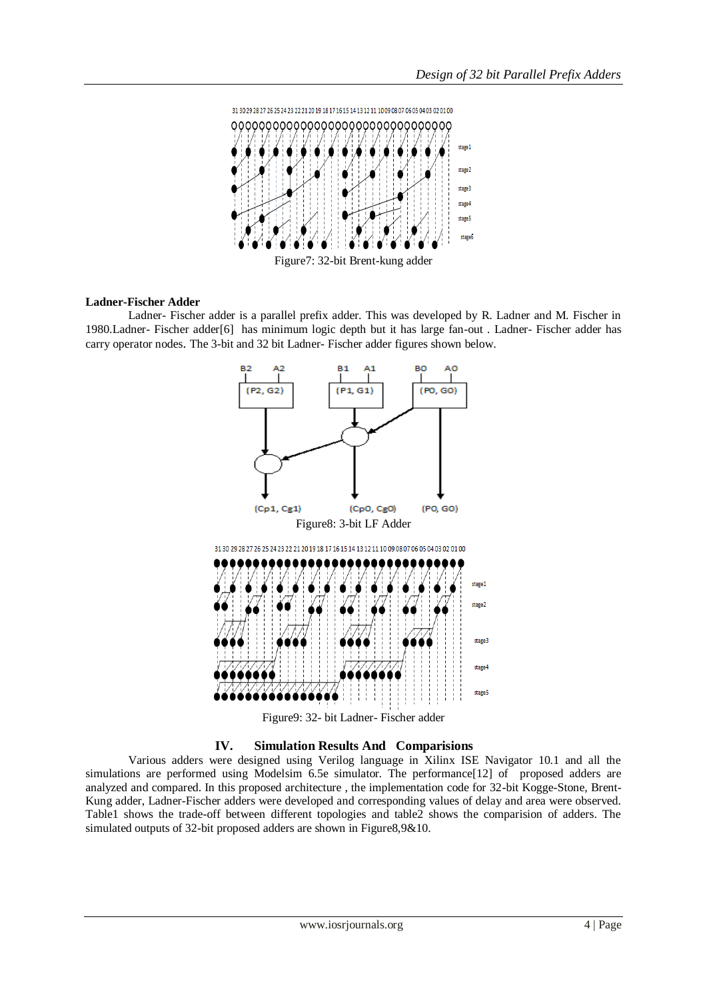

#### **Ladner-Fischer Adder**

Ladner- Fischer adder is a parallel prefix adder. This was developed by R. Ladner and M. Fischer in 1980.Ladner- Fischer adder[6] has minimum logic depth but it has large fan-out . Ladner- Fischer adder has carry operator nodes. The 3-bit and 32 bit Ladner- Fischer adder figures shown below.







Various adders were designed using Verilog language in Xilinx ISE Navigator 10.1 and all the simulations are performed using Modelsim 6.5e simulator. The performance<sup>[12]</sup> of proposed adders are analyzed and compared. In this proposed architecture , the implementation code for 32-bit Kogge-Stone, Brent-Kung adder, Ladner-Fischer adders were developed and corresponding values of delay and area were observed. Table1 shows the trade-off between different topologies and table2 shows the comparision of adders. The simulated outputs of 32-bit proposed adders are shown in Figure8,9&10.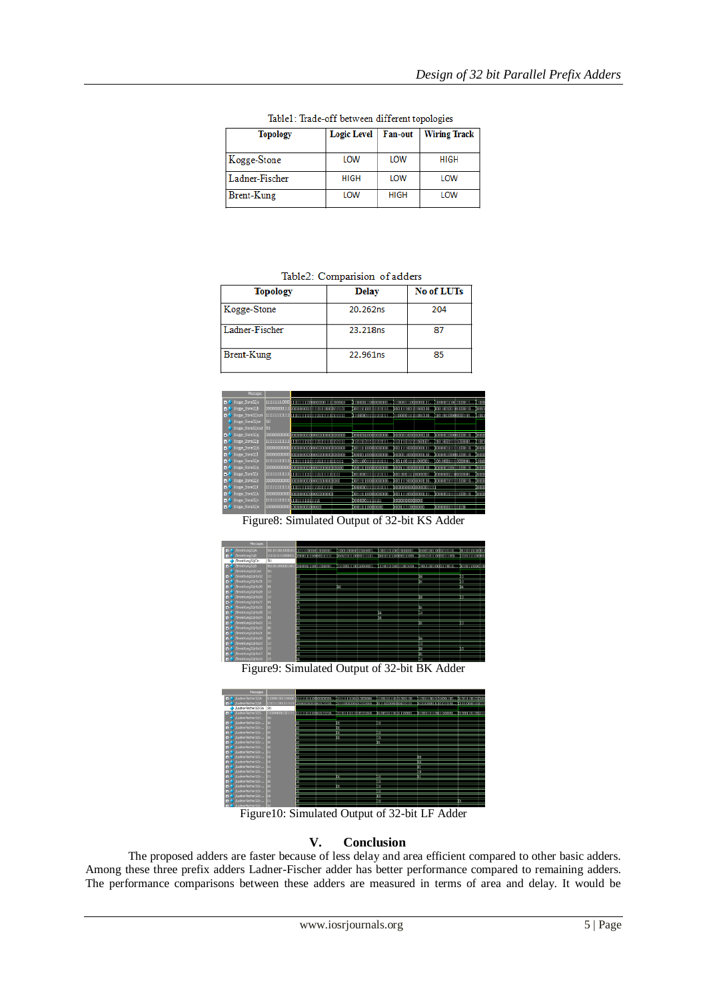| <b>Topology</b> | Logic Level | Fan-out     | <b>Wiring Track</b> |  |
|-----------------|-------------|-------------|---------------------|--|
| Kogge-Stone     | LOW         | LOW         | <b>HIGH</b>         |  |
| Ladner-Fischer  | <b>HIGH</b> | LOW         | LOW                 |  |
| Brent-Kung      | LOW         | <b>HIGH</b> | LOW                 |  |

Table1: Trade-off between different topologies

Table2: Comparision of adders

| <b>Topology</b> | <b>Delay</b> | No of LUTs |
|-----------------|--------------|------------|
| Kogge-Stone     | 20.262ns     | 204        |
| Ladner-Fischer  | 23.218ns     | 87         |
| Brent-Kung      | 22.961ns     | 85         |



Figure8: Simulated Output of 32-bit KS Adder



Figure9: Simulated Output of 32-bit BK Adder



Figure10: Simulated Output of 32-bit LF Adder

# **V. Conclusion**

The proposed adders are faster because of less delay and area efficient compared to other basic adders. Among these three prefix adders Ladner-Fischer adder has better performance compared to remaining adders. The performance comparisons between these adders are measured in terms of area and delay. It would be